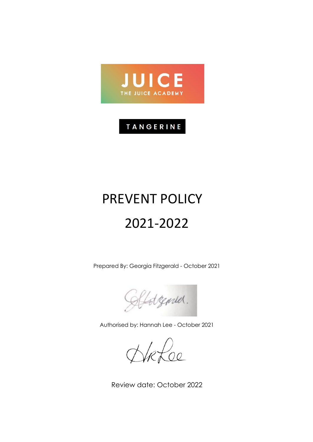

## TANGERINE

# PREVENT POLICY 2021-2022

Prepared By: Georgia Fitzgerald - October 2021

Lotzenser.

Authorised by: Hannah Lee - October 2021

Rfoe

Review date: October 2022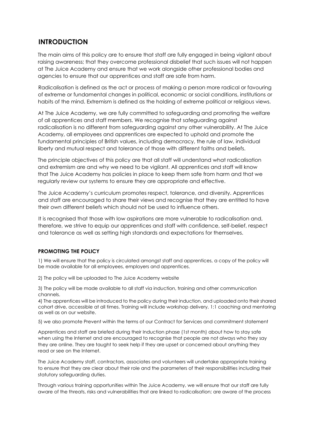## **INTRODUCTION**

The main aims of this policy are to ensure that staff are fully engaged in being vigilant about raising awareness; that they overcome professional disbelief that such issues will not happen at The Juice Academy and ensure that we work alongside other professional bodies and agencies to ensure that our apprentices and staff are safe from harm.

Radicalisation is defined as the act or process of making a person more radical or favouring of extreme or fundamental changes in political, economic or social conditions, institutions or habits of the mind. Extremism is defined as the holding of extreme political or religious views.

At The Juice Academy, we are fully committed to safeguarding and promoting the welfare of all apprentices and staff members. We recognise that safeguarding against radicalisation is no different from safeguarding against any other vulnerability. At The Juice Academy, all employees and apprentices are expected to uphold and promote the fundamental principles of British values, including democracy, the rule of law, individual liberty and mutual respect and tolerance of those with different faiths and beliefs.

The principle objectives of this policy are that all staff will understand what radicalisation and extremism are and why we need to be vigilant. All apprentices and staff will know that The Juice Academy has policies in place to keep them safe from harm and that we regularly review our systems to ensure they are appropriate and effective.

The Juice Academy's curriculum promotes respect, tolerance, and diversity. Apprentices and staff are encouraged to share their views and recognise that they are entitled to have their own different beliefs which should not be used to influence others.

It is recognised that those with low aspirations are more vulnerable to radicalisation and, therefore, we strive to equip our apprentices and staff with confidence, self-belief, respect and tolerance as well as setting high standards and expectations for themselves.

#### **PROMOTING THE POLICY**

1) We will ensure that the policy is circulated amongst staff and apprentices, a copy of the policy will be made available for all employees, employers and apprentices.

2) The policy will be uploaded to The Juice Academy website

3) The policy will be made available to all staff via induction, training and other communication channels.

4) The apprentices will be introduced to the policy during their induction, and uploaded onto their shared cohort drive, accessible at all times. Training will include workshop delivery, 1:1 coaching and mentoring as well as on our website.

5) we also promote Prevent within the terms of our Contract for Services and commitment statement

Apprentices and staff are briefed during their Induction phase (1st month) about how to stay safe when using the Internet and are encouraged to recognise that people are not always who they say they are online. They are taught to seek help if they are upset or concerned about anything they read or see on the Internet.

The Juice Academy staff, contractors, associates and volunteers will undertake appropriate training to ensure that they are clear about their role and the parameters of their responsibilities including their statutory safeguarding duties.

Through various training opportunities within The Juice Academy, we will ensure that our staff are fully aware of the threats, risks and vulnerabilities that are linked to radicalisation; are aware of the process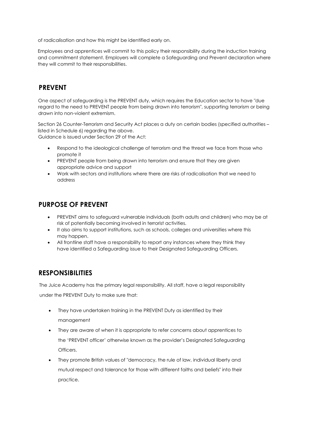of radicalisation and how this might be identified early on.

Employees and apprentices will commit to this policy their responsibility during the induction training and commitment statement. Employers will complete a Safeguarding and Prevent declaration where they will commit to their responsibilities.

## **PREVENT**

One aspect of safeguarding is the PREVENT duty, which requires the Education sector to have "due regard to the need to PREVENT people from being drawn into terrorism", supporting terrorism or being drawn into non-violent extremism.

Section 26 Counter-Terrorism and Security Act places a duty on certain bodies (specified authorities – listed in Schedule 6) regarding the above.

Guidance is issued under Section 29 of the Act:

- Respond to the ideological challenge of terrorism and the threat we face from those who promote it
- PREVENT people from being drawn into terrorism and ensure that they are given appropriate advice and support
- Work with sectors and institutions where there are risks of radicalisation that we need to address

## **PURPOSE OF PREVENT**

- PREVENT aims to safeguard vulnerable individuals (both adults and children) who may be at risk of potentially becoming involved in terrorist activities.
- It also aims to support institutions, such as schools, colleges and universities where this may happen.
- All frontline staff have a responsibility to report any instances where they think they have identified a Safeguarding issue to their Designated Safeguarding Officers.

## **RESPONSIBILITIES**

The Juice Academy has the primary legal responsibility. All staff, have a legal responsibility under the PREVENT Duty to make sure that:

- They have undertaken training in the PREVENT Duty as identified by their management
- They are aware of when it is appropriate to refer concerns about apprentices to the 'PREVENT officer' otherwise known as the provider's Designated Safeguarding Officers.
- They promote British values of "democracy, the rule of law, individual liberty and mutual respect and tolerance for those with different faiths and beliefs" into their practice.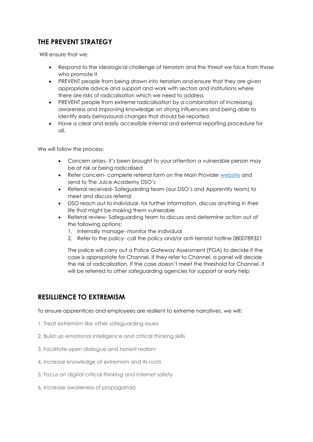## **THE PREVENT STRATEGY**

Will ensure that we:

- Respond to the ideological challenge of terrorism and the threat we face from those who promote it
- PREVENT people from being drawn into terrorism and ensure that they are given appropriate advice and support and work with sectors and institutions where there are risks of radicalisation which we need to address
- PREVENT people from extreme radicalisation by a combination of increasing awareness and improving knowledge on strong influencers and being able to identify early behavioural changes that should be reported.
- Have a clear and easily accessible internal and external reporting procedure for all.

We will follow the process:

- Concern arises- it's been brought to your attention a vulnerable person may be at risk or being radicalised
- Refer concern- complete referral form on the Main Provider [website](https://www.apprentify.com/policies/) and send to The Juice Academy DSO's
- Referral received- Safeguarding team (our DSO's and Apprentify team) to meet and discuss referral
- DSO reach out to individual- for further information, discuss anything in their life that might be making them vulnerable
- Referral review- Safeguarding team to discuss and determine action out of the following options:
	- 1. Internally manage- monitor the individual
	- 2. Refer to the policy- call the policy and/or anti-terrorist hotline 0800789321

The police will carry out a Police Gateway Assessment (PGA) to decide if the case is appropriate for Channel. If they refer to Channel, a panel will decide the risk of radicalisation. If the case doesn't meet the threshold for Channel, it will be referred to other safeguarding agencies for support or early help

## **RESILLIENCE TO EXTREMISM**

To ensure apprentices and employees are resilient to extreme narratives, we will:

- 1, Treat extremism like other safeguarding issues
- 2, Build up emotional intelligence and critical thinking skills
- 3, Facilitate open dialogue and honest realism
- 4, Increase knowledge of extremism and its roots
- 5, Focus on digital critical thinking and internet safety
- 6, Increase awareness of propaganda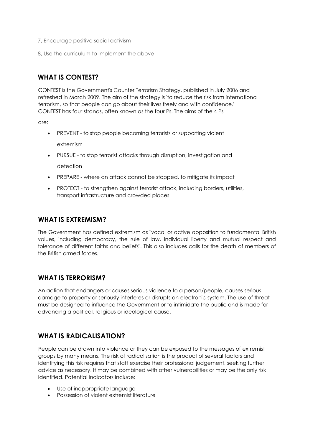- 7, Encourage positive social activism
- 8, Use the curriculum to implement the above

## **WHAT IS CONTEST?**

CONTEST is the Government's Counter Terrorism Strategy, published in July 2006 and refreshed in March 2009. The aim of the strategy is 'to reduce the risk from international terrorism, so that people can go about their lives freely and with confidence.' CONTEST has four strands, often known as the four Ps. The aims of the 4 Ps

are:

- PREVENT to stop people becoming terrorists or supporting violent extremism
- PURSUE to stop terrorist attacks through disruption, investigation and detection
- PREPARE where an attack cannot be stopped, to mitigate its impact
- PROTECT to strengthen against terrorist attack, including borders, utilities, transport infrastructure and crowded places

#### **WHAT IS EXTREMISM?**

The Government has defined extremism as "vocal or active opposition to fundamental British values, including democracy, the rule of law, individual liberty and mutual respect and tolerance of different faiths and beliefs". This also includes calls for the death of members of the British armed forces.

## **WHAT IS TERRORISM?**

An action that endangers or causes serious violence to a person/people, causes serious damage to property or seriously interferes or disrupts an electronic system. The use of threat must be designed to influence the Government or to intimidate the public and is made for advancing a political, religious or ideological cause.

## **WHAT IS RADICALISATION?**

People can be drawn into violence or they can be exposed to the messages of extremist groups by many means. The risk of radicalisation is the product of several factors and identifying this risk requires that staff exercise their professional judgement, seeking further advice as necessary. It may be combined with other vulnerabilities or may be the only risk identified. Potential indicators include:

- Use of inappropriate language
- Possession of violent extremist literature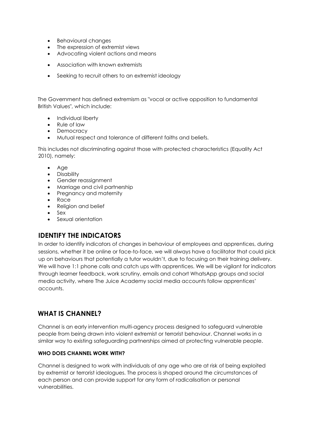- Behavioural changes
- The expression of extremist views
- Advocating violent actions and means
- Association with known extremists
- Seeking to recruit others to an extremist ideology

The Government has defined extremism as "vocal or active opposition to fundamental British Values", which include:

- Individual liberty
- Rule of law
- Democracy
- Mutual respect and tolerance of different faiths and beliefs.

This includes not discriminating against those with protected characteristics (Equality Act 2010), namely:

- Age
- Disability
- Gender reassignment
- Marriage and civil partnership
- Pregnancy and maternity
- Race
- Religion and belief
- Sex
- Sexual orientation

#### **IDENTIFY THE INDICATORS**

In order to identify indicators of changes in behaviour of employees and apprentices, during sessions, whether it be online or face-to-face, we will always have a facilitator that could pick up on behaviours that potentially a tutor wouldn't, due to focusing on their training delivery. We will have 1:1 phone calls and catch ups with apprentices. We will be vigilant for indicators through learner feedback, work scrutiny, emails and cohort WhatsApp groups and social media activity, where The Juice Academy social media accounts follow apprentices' accounts.

## **WHAT IS CHANNEL?**

Channel is an early intervention multi-agency process designed to safeguard vulnerable people from being drawn into violent extremist or terrorist behaviour. Channel works in a similar way to existing safeguarding partnerships aimed at protecting vulnerable people.

#### **WHO DOES CHANNEL WORK WITH?**

Channel is designed to work with individuals of any age who are at risk of being exploited by extremist or terrorist ideologues. The process is shaped around the circumstances of each person and can provide support for any form of radicalisation or personal vulnerabilities.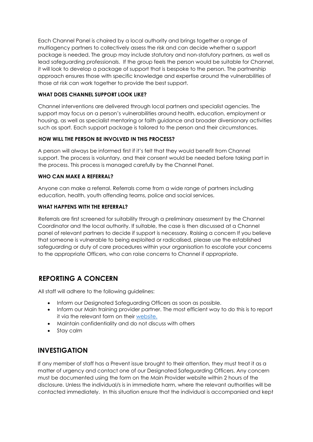Each Channel Panel is chaired by a local authority and brings together a range of multiagency partners to collectively assess the risk and can decide whether a support package is needed. The group may include statutory and non-statutory partners, as well as lead safeguarding professionals. If the group feels the person would be suitable for Channel, it will look to develop a package of support that is bespoke to the person. The partnership approach ensures those with specific knowledge and expertise around the vulnerabilities of those at risk can work together to provide the best support.

#### **WHAT DOES CHANNEL SUPPORT LOOK LIKE?**

Channel interventions are delivered through local partners and specialist agencies. The support may focus on a person's vulnerabilities around health, education, employment or housing, as well as specialist mentoring or faith guidance and broader diversionary activities such as sport. Each support package is tailored to the person and their circumstances.

#### **HOW WILL THE PERSON BE INVOLVED IN THIS PROCESS?**

A person will always be informed first if it's felt that they would benefit from Channel support. The process is voluntary, and their consent would be needed before taking part in the process. This process is managed carefully by the Channel Panel.

#### **WHO CAN MAKE A REFERRAL?**

Anyone can make a referral. Referrals come from a wide range of partners including education, health, youth offending teams, police and social services.

#### **WHAT HAPPENS WITH THE REFERRAL?**

Referrals are first screened for suitability through a preliminary assessment by the Channel Coordinator and the local authority. If suitable, the case is then discussed at a Channel panel of relevant partners to decide if support is necessary. Raising a concern If you believe that someone is vulnerable to being exploited or radicalised, please use the established safeguarding or duty of care procedures within your organisation to escalate your concerns to the appropriate Officers, who can raise concerns to Channel if appropriate.

## **REPORTING A CONCERN**

All staff will adhere to the following guidelines:

- Inform our Designated Safeguarding Officers as soon as possible.
- Inform our Main training provider partner. The most efficient way to do this is to report it via the relevant form on their [website.](https://www.apprentify.com/)
- Maintain confidentiality and do not discuss with others
- Stay calm

## **INVESTIGATION**

If any member of staff has a Prevent issue brought to their attention, they must treat it as a matter of urgency and contact one of our Designated Safeguarding Officers. Any concern must be documented using the form on the Main Provider website within 2 hours of the disclosure. Unless the individual/s is in immediate harm, where the relevant authorities will be contacted immediately. In this situation ensure that the individual is accompanied and kept